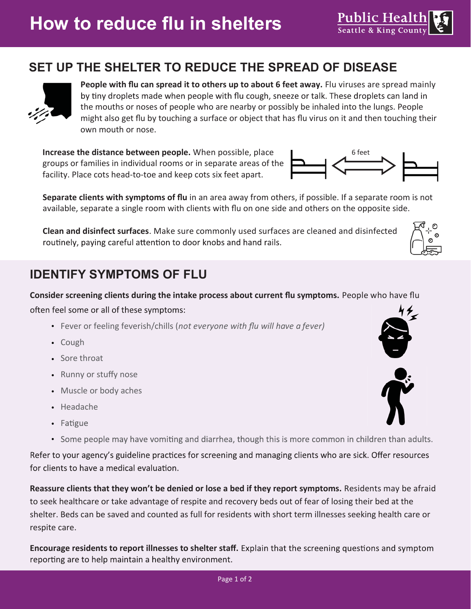

People with flu can spread it to others up to about 6 feet away. Flu viruses are spread mainly by tiny droplets made when people with flu cough, sneeze or talk. These droplets can land in the mouths or noses of people who are nearby or possibly be inhaled into the lungs. People might also get flu by touching a surface or object that has flu virus on it and then touching their own mouth or nose.

**Increase the distance between people.** When possible, place groups or families in individual rooms or in separate areas of the facility. Place cots head-to-toe and keep cots six feet apart.

**Separate clients with symptoms of flu** in an area away from others, if possible. If a separate room is not available, separate a single room with clients with flu on one side and others on the opposite side.

**Clean and disinfect surfaces**. Make sure commonly used surfaces are cleaned and disinfected routinely, paying careful attention to door knobs and hand rails.

## **IDENTIFY SYMPTOMS OF FLU**

**Consider screening clients during the intake process about current flu symptoms. People who have flu** often feel some or all of these symptoms:

- Fever or feeling feverish/chills (not everyone with *flu will have a fever)*
- Cough
- Sore throat
- Runny or stuffy nose
- Muscle or body aches
- Headache
- Fatigue
- Some people may have vomiting and diarrhea, though this is more common in children than adults.

Refer to your agency's guideline practices for screening and managing clients who are sick. Offer resources for clients to have a medical evaluation.

**Reassure clients that they won't be denied or lose a bed if they report symptoms.** Residents may be afraid to seek healthcare or take advantage of respite and recovery beds out of fear of losing their bed at the shelter. Beds can be saved and counted as full for residents with short term illnesses seeking health care or respite care.

**Encourage residents to report illnesses to shelter staff.** Explain that the screening questions and symptom reporting are to help maintain a healthy environment.